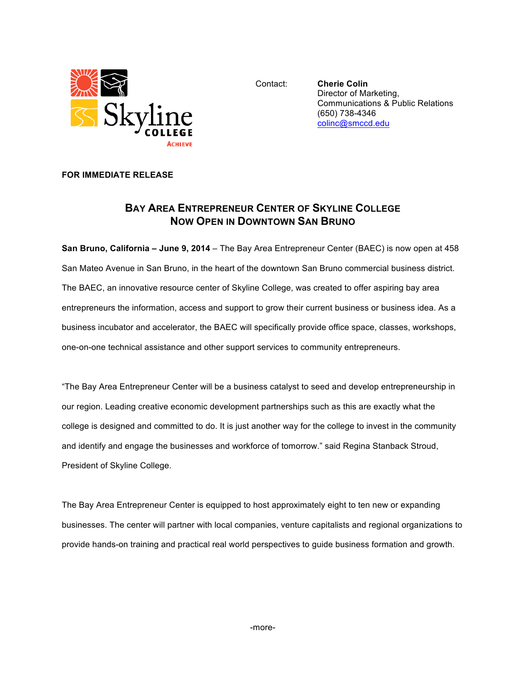

Contact: **Cherie Colin** Director of Marketing, Communications & Public Relations (650) 738-4346 colinc@smccd.edu

## **FOR IMMEDIATE RELEASE**

## **BAY AREA ENTREPRENEUR CENTER OF SKYLINE COLLEGE NOW OPEN IN DOWNTOWN SAN BRUNO**

**San Bruno, California – June 9, 2014** – The Bay Area Entrepreneur Center (BAEC) is now open at 458 San Mateo Avenue in San Bruno, in the heart of the downtown San Bruno commercial business district. The BAEC, an innovative resource center of Skyline College, was created to offer aspiring bay area entrepreneurs the information, access and support to grow their current business or business idea. As a business incubator and accelerator, the BAEC will specifically provide office space, classes, workshops, one-on-one technical assistance and other support services to community entrepreneurs.

"The Bay Area Entrepreneur Center will be a business catalyst to seed and develop entrepreneurship in our region. Leading creative economic development partnerships such as this are exactly what the college is designed and committed to do. It is just another way for the college to invest in the community and identify and engage the businesses and workforce of tomorrow." said Regina Stanback Stroud, President of Skyline College.

The Bay Area Entrepreneur Center is equipped to host approximately eight to ten new or expanding businesses. The center will partner with local companies, venture capitalists and regional organizations to provide hands-on training and practical real world perspectives to guide business formation and growth.